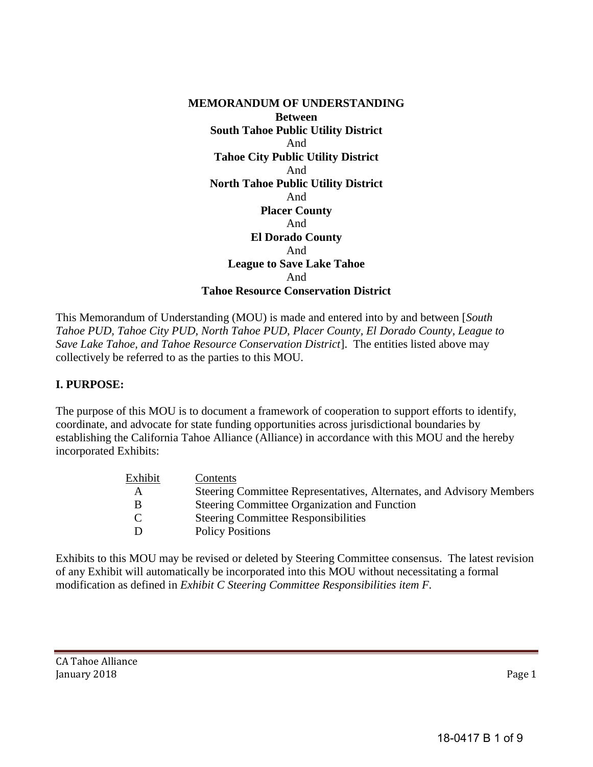**MEMORANDUM OF UNDERSTANDING Between South Tahoe Public Utility District**  And **Tahoe City Public Utility District**  And **North Tahoe Public Utility District**  And **Placer County**  And **El Dorado County**  And **League to Save Lake Tahoe**  And **Tahoe Resource Conservation District** 

This Memorandum of Understanding (MOU) is made and entered into by and between [*South Tahoe PUD, Tahoe City PUD, North Tahoe PUD, Placer County, El Dorado County, League to Save Lake Tahoe, and Tahoe Resource Conservation District*]. The entities listed above may collectively be referred to as the parties to this MOU.

#### **I. PURPOSE:**

The purpose of this MOU is to document a framework of cooperation to support efforts to identify, coordinate, and advocate for state funding opportunities across jurisdictional boundaries by establishing the California Tahoe Alliance (Alliance) in accordance with this MOU and the hereby incorporated Exhibits:

| Exhibit | Contents |                                                                      |
|---------|----------|----------------------------------------------------------------------|
| A       |          | Steering Committee Representatives, Alternates, and Advisory Members |
| В       |          | Steering Committee Organization and Function                         |
|         |          | <b>Steering Committee Responsibilities</b>                           |
| D       |          | <b>Policy Positions</b>                                              |
|         |          |                                                                      |

Exhibits to this MOU may be revised or deleted by Steering Committee consensus. The latest revision of any Exhibit will automatically be incorporated into this MOU without necessitating a formal modification as defined in *Exhibit C Steering Committee Responsibilities item F.*

CA Tahoe Alliance January 2018 Page 1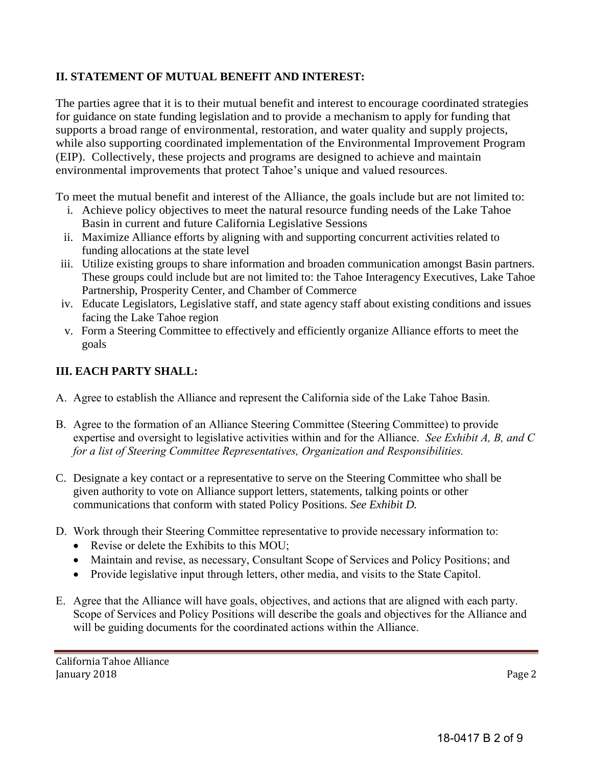## **II. STATEMENT OF MUTUAL BENEFIT AND INTEREST:**

The parties agree that it is to their mutual benefit and interest to encourage coordinated strategies for guidance on state funding legislation and to provide a mechanism to apply for funding that supports a broad range of environmental, restoration, and water quality and supply projects, while also supporting coordinated implementation of the Environmental Improvement Program (EIP). Collectively, these projects and programs are designed to achieve and maintain environmental improvements that protect Tahoe's unique and valued resources.

To meet the mutual benefit and interest of the Alliance, the goals include but are not limited to:

- i. Achieve policy objectives to meet the natural resource funding needs of the Lake Tahoe Basin in current and future California Legislative Sessions
- ii. Maximize Alliance efforts by aligning with and supporting concurrent activities related to funding allocations at the state level
- iii. Utilize existing groups to share information and broaden communication amongst Basin partners. These groups could include but are not limited to: the Tahoe Interagency Executives, Lake Tahoe Partnership, Prosperity Center, and Chamber of Commerce
- iv. Educate Legislators, Legislative staff, and state agency staff about existing conditions and issues facing the Lake Tahoe region
- v. Form a Steering Committee to effectively and efficiently organize Alliance efforts to meet the goals

## **III. EACH PARTY SHALL:**

- A. Agree to establish the Alliance and represent the California side of the Lake Tahoe Basin*.*
- B. Agree to the formation of an Alliance Steering Committee (Steering Committee) to provide expertise and oversight to legislative activities within and for the Alliance. *See Exhibit A, B, and C for a list of Steering Committee Representatives, Organization and Responsibilities.*
- C. Designate a key contact or a representative to serve on the Steering Committee who shall be given authority to vote on Alliance support letters, statements, talking points or other communications that conform with stated Policy Positions. *See Exhibit D.*
- D. Work through their Steering Committee representative to provide necessary information to:
	- Revise or delete the Exhibits to this MOU;
	- Maintain and revise, as necessary, Consultant Scope of Services and Policy Positions; and
	- Provide legislative input through letters, other media, and visits to the State Capitol.
- E. Agree that the Alliance will have goals, objectives, and actions that are aligned with each party. Scope of Services and Policy Positions will describe the goals and objectives for the Alliance and will be guiding documents for the coordinated actions within the Alliance.

California Tahoe Alliance January 2018 Page 2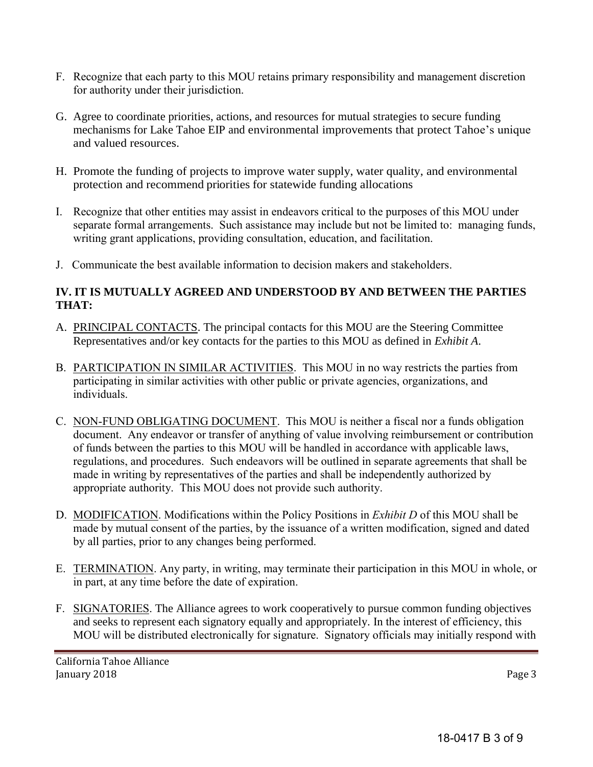- F. Recognize that each party to this MOU retains primary responsibility and management discretion for authority under their jurisdiction.
- G. Agree to coordinate priorities, actions, and resources for mutual strategies to secure funding mechanisms for Lake Tahoe EIP and environmental improvements that protect Tahoe's unique and valued resources.
- H. Promote the funding of projects to improve water supply, water quality, and environmental protection and recommend priorities for statewide funding allocations
- I. Recognize that other entities may assist in endeavors critical to the purposes of this MOU under separate formal arrangements. Such assistance may include but not be limited to: managing funds, writing grant applications, providing consultation, education, and facilitation.
- J. Communicate the best available information to decision makers and stakeholders.

## **IV. IT IS MUTUALLY AGREED AND UNDERSTOOD BY AND BETWEEN THE PARTIES THAT:**

- A. PRINCIPAL CONTACTS. The principal contacts for this MOU are the Steering Committee Representatives and/or key contacts for the parties to this MOU as defined in *Exhibit A*.
- B. PARTICIPATION IN SIMILAR ACTIVITIES. This MOU in no way restricts the parties from participating in similar activities with other public or private agencies, organizations, and individuals.
- C. NON-FUND OBLIGATING DOCUMENT. This MOU is neither a fiscal nor a funds obligation document. Any endeavor or transfer of anything of value involving reimbursement or contribution of funds between the parties to this MOU will be handled in accordance with applicable laws, regulations, and procedures. Such endeavors will be outlined in separate agreements that shall be made in writing by representatives of the parties and shall be independently authorized by appropriate authority. This MOU does not provide such authority.
- D. MODIFICATION. Modifications within the Policy Positions in *Exhibit D* of this MOU shall be made by mutual consent of the parties, by the issuance of a written modification, signed and dated by all parties, prior to any changes being performed.
- E. TERMINATION. Any party, in writing, may terminate their participation in this MOU in whole, or in part, at any time before the date of expiration.
- F. SIGNATORIES. The Alliance agrees to work cooperatively to pursue common funding objectives and seeks to represent each signatory equally and appropriately. In the interest of efficiency, this MOU will be distributed electronically for signature. Signatory officials may initially respond with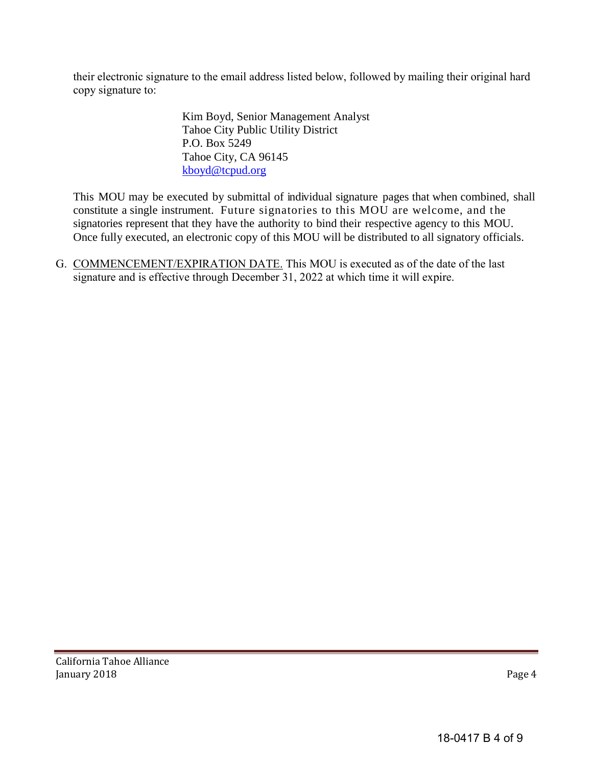their electronic signature to the email address listed below, followed by mailing their original hard copy signature to:

> Kim Boyd, Senior Management Analyst Tahoe City Public Utility District P.O. Box 5249 Tahoe City, CA 96145 [kboyd@tcpud.org](mailto:kboyd@tcpud.org)

This MOU may be executed by submittal of individual signature pages that when combined, shall constitute a single instrument. Future signatories to this MOU are welcome, and the signatories represent that they have the authority to bind their respective agency to this MOU. Once fully executed, an electronic copy of this MOU will be distributed to all signatory officials.

G. COMMENCEMENT/EXPIRATION DATE. This MOU is executed as of the date of the last signature and is effective through December 31, 2022 at which time it will expire.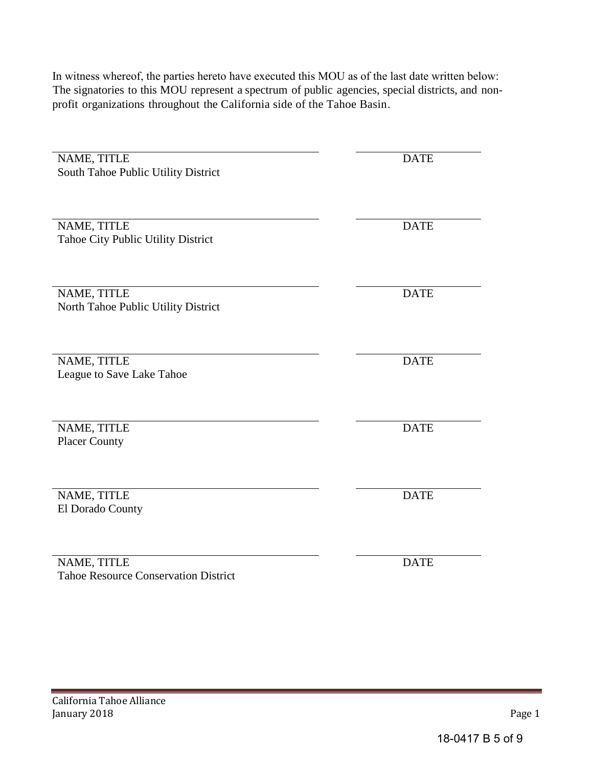In witness whereof, the parties hereto have executed this MOU as of the last date written below: The signatories to this MOU represent a spectrum of public agencies, special districts, and nonprofit organizations throughout the California side of the Tahoe Basin.

| NAME, TITLE                                 | <b>DATE</b> |
|---------------------------------------------|-------------|
| South Tahoe Public Utility District         |             |
|                                             |             |
|                                             |             |
|                                             |             |
|                                             |             |
| NAME, TITLE                                 | <b>DATE</b> |
| Tahoe City Public Utility District          |             |
|                                             |             |
|                                             |             |
|                                             |             |
|                                             |             |
| NAME, TITLE                                 | <b>DATE</b> |
| North Tahoe Public Utility District         |             |
|                                             |             |
|                                             |             |
|                                             |             |
| NAME, TITLE                                 | <b>DATE</b> |
| League to Save Lake Tahoe                   |             |
|                                             |             |
|                                             |             |
|                                             |             |
|                                             |             |
| NAME, TITLE                                 | <b>DATE</b> |
| <b>Placer County</b>                        |             |
|                                             |             |
|                                             |             |
|                                             |             |
| NAME, TITLE                                 | <b>DATE</b> |
|                                             |             |
| El Dorado County                            |             |
|                                             |             |
|                                             |             |
|                                             |             |
| NAME, TITLE                                 | <b>DATE</b> |
| <b>Tahoe Resource Conservation District</b> |             |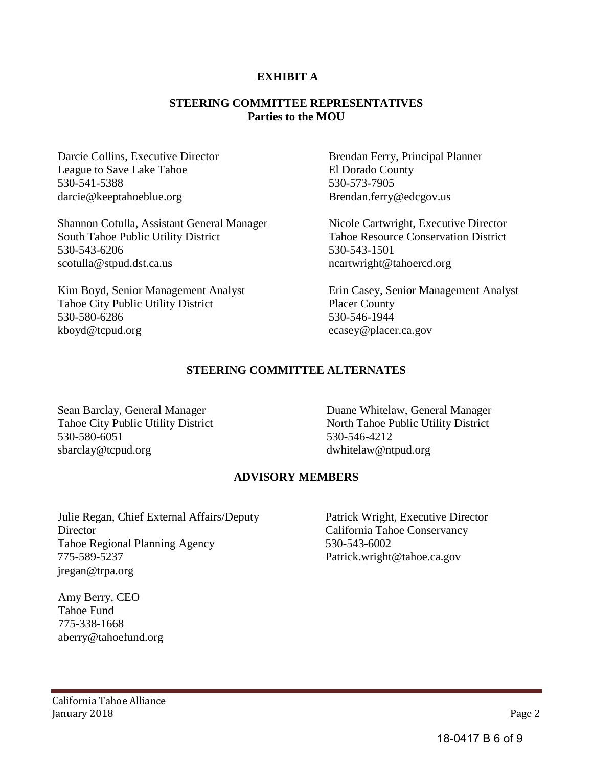#### **EXHIBIT A**

#### **STEERING COMMITTEE REPRESENTATIVES Parties to the MOU**

Darcie Collins, Executive Director League to Save Lake Tahoe 530-541-5388 darcie@keeptahoeblue.org

Shannon Cotulla, Assistant General Manager South Tahoe Public Utility District 530-543-6206 scotulla@stpud.dst.ca.us

Kim Boyd, Senior Management Analyst Tahoe City Public Utility District 530-580-6286 kboyd@tcpud.org

Brendan Ferry, Principal Planner El Dorado County 530-573-7905 Brendan.ferry@edcgov.us

Nicole Cartwright, Executive Director Tahoe Resource Conservation District 530-543-1501 ncartwright@tahoercd.org

Erin Casey, Senior Management Analyst Placer County 530-546-1944 ecasey@placer.ca.gov

### **STEERING COMMITTEE ALTERNATES**

Sean Barclay, General Manager Tahoe City Public Utility District 530-580-6051 sbarclay@tcpud.org

Duane Whitelaw, General Manager North Tahoe Public Utility District 530-546-4212 dwhitelaw@ntpud.org

#### **ADVISORY MEMBERS**

Julie Regan, Chief External Affairs/Deputy **Director** Tahoe Regional Planning Agency 775-589-5237 jregan@trpa.org

Patrick Wright, Executive Director California Tahoe Conservancy 530-543-6002 Patrick.wright@tahoe.ca.gov

 Amy Berry, CEO Tahoe Fund 775-338-1668 aberry@tahoefund.org

18-0417 B 6 of 9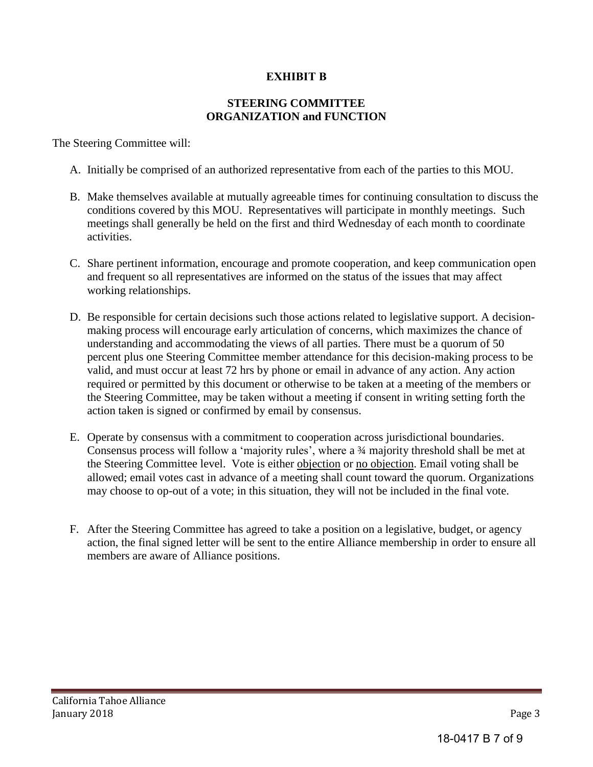# **EXHIBIT B**

### **STEERING COMMITTEE ORGANIZATION and FUNCTION**

The Steering Committee will:

- A. Initially be comprised of an authorized representative from each of the parties to this MOU.
- B. Make themselves available at mutually agreeable times for continuing consultation to discuss the conditions covered by this MOU. Representatives will participate in monthly meetings. Such meetings shall generally be held on the first and third Wednesday of each month to coordinate activities.
- C. Share pertinent information, encourage and promote cooperation, and keep communication open and frequent so all representatives are informed on the status of the issues that may affect working relationships.
- D. Be responsible for certain decisions such those actions related to legislative support. A decisionmaking process will encourage early articulation of concerns, which maximizes the chance of understanding and accommodating the views of all parties. There must be a quorum of 50 percent plus one Steering Committee member attendance for this decision-making process to be valid, and must occur at least 72 hrs by phone or email in advance of any action. Any action required or permitted by this document or otherwise to be taken at a meeting of the members or the Steering Committee, may be taken without a meeting if consent in writing setting forth the action taken is signed or confirmed by email by consensus.
- E. Operate by consensus with a commitment to cooperation across jurisdictional boundaries. Consensus process will follow a 'majority rules', where a ¾ majority threshold shall be met at the Steering Committee level. Vote is either objection or no objection. Email voting shall be allowed; email votes cast in advance of a meeting shall count toward the quorum. Organizations may choose to op-out of a vote; in this situation, they will not be included in the final vote.
- F. After the Steering Committee has agreed to take a position on a legislative, budget, or agency action, the final signed letter will be sent to the entire Alliance membership in order to ensure all members are aware of Alliance positions.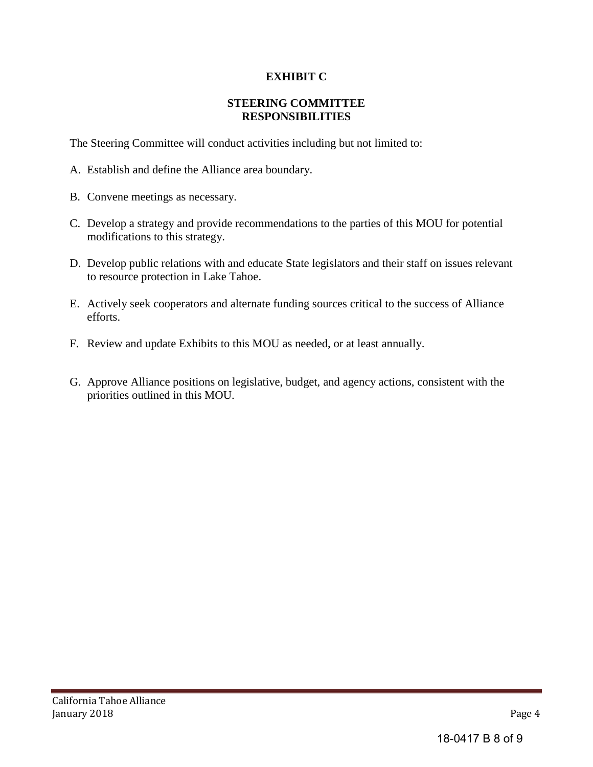# **EXHIBIT C**

### **STEERING COMMITTEE RESPONSIBILITIES**

The Steering Committee will conduct activities including but not limited to:

- A. Establish and define the Alliance area boundary.
- B. Convene meetings as necessary.
- C. Develop a strategy and provide recommendations to the parties of this MOU for potential modifications to this strategy.
- D. Develop public relations with and educate State legislators and their staff on issues relevant to resource protection in Lake Tahoe.
- E. Actively seek cooperators and alternate funding sources critical to the success of Alliance efforts.
- F. Review and update Exhibits to this MOU as needed, or at least annually.
- G. Approve Alliance positions on legislative, budget, and agency actions, consistent with the priorities outlined in this MOU.